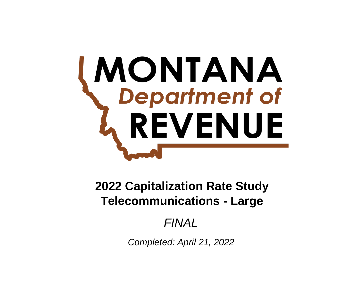# **MONTANA**<br>Department of REVENUE

**Telecommunications - Large 2022 Capitalization Rate Study**

# *FINAL*

*Completed: April 21, 2022*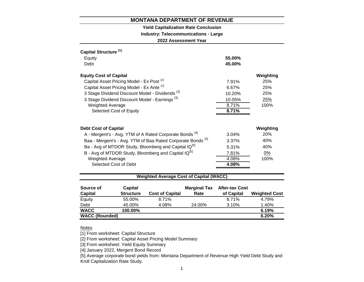#### **Yield Capitalization Rate Conclusion**

#### **Industry: Telecommunications - Large**

**2022 Assessment Year**

| Capital Structure <sup>[1]</sup>                                       |        |            |
|------------------------------------------------------------------------|--------|------------|
| Equity                                                                 | 55.00% |            |
| Debt                                                                   | 45.00% |            |
| <b>Equity Cost of Capital</b>                                          |        | Weighting  |
| Capital Asset Pricing Model - Ex Post <sup>[2]</sup>                   | 7.91%  | 25%        |
| Capital Asset Pricing Model - Ex Ante [2]                              | 6.67%  | 25%        |
| 3 Stage Dividend Discount Model - Dividends <sup>[3]</sup>             | 10.20% | 25%        |
| 3 Stage Dividend Discount Model - Earnings <sup>[3]</sup>              | 10.05% | 25%        |
| <b>Weighted Average</b>                                                | 8.71%  | 100%       |
| Selected Cost of Equity                                                | 8.71%  |            |
|                                                                        |        |            |
| <b>Debt Cost of Capital</b>                                            |        | Weighting  |
| A - Mergent's - Avg. YTM of A Rated Corporate Bonds <sup>[4]</sup>     | 3.04%  | <b>20%</b> |
| Baa - Mergent's - Avg. YTM of Baa Rated Corporate Bonds <sup>[4]</sup> | 3.37%  | 40%        |
| Ba - Avg of MTDOR Study, Bloomberg and Capital IQ <sup>[5]</sup>       | 5.31%  | 40%        |
| B - Avg of MTDOR Study, Bloomberg and Capital IQ <sup>[5]</sup>        | 7.81%  | 0%         |
| <b>Weighted Average</b>                                                | 4.08%  | 100%       |
| Selected Cost of Debt                                                  | 4.08%  |            |
|                                                                        |        |            |

#### **Weighted Average Cost of Capital (WACC)**

| Source of             | Capital          |                        | <b>Marginal Tax</b> | <b>After-tax Cost</b> |                      |
|-----------------------|------------------|------------------------|---------------------|-----------------------|----------------------|
| <b>Capital</b>        | <b>Structure</b> | <b>Cost of Capital</b> | Rate                | of Capital            | <b>Weighted Cost</b> |
| Equity                | 55.00%           | 8.71%                  |                     | 8.71%                 | 4.79%                |
| Debt                  | 45.00%           | 4.08%                  | 24.00%              | 3.10%                 | 1.40%                |
| <b>WACC</b>           | 100.00%          |                        |                     |                       | 6.19%                |
| <b>WACC (Rounded)</b> |                  |                        |                     |                       | 6.20%                |

#### Notes

[1] From worksheet: Capital Structure

[2] From worksheet: Capital Asset Pricing Model Summary

[3] From worksheet: Yield Equity Summary

[4] January 2022, Mergent Bond Record

[5] Average corporate bond yields from: Montana Department of Revenue High Yield Debt Study and Kroll Capitalization Rate Study.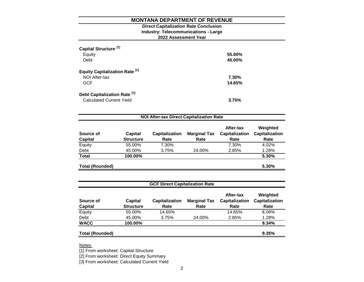#### **2022 Assessment Year Industry: Telecommunications - Large Direct Capitalization Rate Conclusion**

| Capital Structure <sup>[1]</sup><br>Equity<br>Debt                         | 55.00%<br>45.00% |
|----------------------------------------------------------------------------|------------------|
| <b>Equity Capitalization Rate<sup>[2]</sup></b><br>NOI After-tax<br>GCF    | 7.30%<br>14.65%  |
| Debt Capitalization Rate <sup>[3]</sup><br><b>Calculated Current Yield</b> | 3.75%            |

| <b>NOI After-tax Direct Capitalization Rate</b><br>Weighted<br>After-tax<br><b>Capitalization</b><br><b>Marginal Tax</b><br><b>Capitalization</b><br>Source of<br>Capital<br><b>Capitalization</b> |                  |       |        |       |       |  |  |  |
|----------------------------------------------------------------------------------------------------------------------------------------------------------------------------------------------------|------------------|-------|--------|-------|-------|--|--|--|
| <b>Capital</b>                                                                                                                                                                                     | <b>Structure</b> | Rate  | Rate   | Rate  | Rate  |  |  |  |
| Equity                                                                                                                                                                                             | 55.00%           | 7.30% |        | 7.30% | 4.02% |  |  |  |
| Debt                                                                                                                                                                                               | 45.00%           | 3.75% | 24.00% | 2.85% | 1.28% |  |  |  |
| <b>Total</b>                                                                                                                                                                                       | 100.00%          |       |        |       | 5.30% |  |  |  |
| <b>Total (Rounded)</b>                                                                                                                                                                             |                  |       |        |       | 5.30% |  |  |  |

| <b>GCF Direct Capitalization Rate</b> |                             |                               |                             |                                            |                                           |  |  |
|---------------------------------------|-----------------------------|-------------------------------|-----------------------------|--------------------------------------------|-------------------------------------------|--|--|
| Source of<br><b>Capital</b>           | Capital<br><b>Structure</b> | <b>Capitalization</b><br>Rate | <b>Marginal Tax</b><br>Rate | After-tax<br><b>Capitalization</b><br>Rate | Weighted<br><b>Capitalization</b><br>Rate |  |  |
| Equity                                | 55.00%                      | 14.65%                        |                             | 14.65%                                     | 8.06%                                     |  |  |
| Debt                                  | 45.00%                      | 3.75%                         | 24.00%                      | 2.85%                                      | 1.28%                                     |  |  |
| <b>WACC</b>                           | 100.00%                     |                               |                             |                                            | 9.34%                                     |  |  |
| <b>Total (Rounded)</b>                |                             |                               |                             |                                            | 9.35%                                     |  |  |

Notes:

[1] From worksheet: Capital Structure

[2] From worksheet: Direct Equity Summary

[3] From worksheet: Calculated Current Yield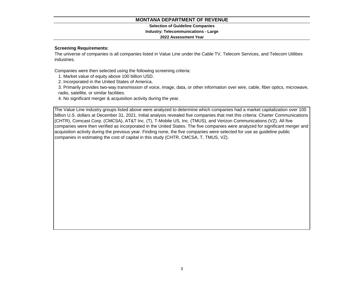#### **Selection of Guideline Companies**

#### **Industry: Telecommunications - Large**

#### **2022 Assessment Year**

#### **Screening Requirements:**

The universe of companies is all companies listed in Value Line under the Cable TV, Telecom Services, and Telecom Utilities industries.

Companies were then selected using the following screening criteria:

1. Market value of equity above 100 billion USD.

2. Incorporated in the United States of America.

3. Primarily provides two-way transmission of voice, image, data, or other information over wire, cable, fiber optics, microwave, radio, satellite, or similar facilities.

4. No significant merger & acquisition activity during the year.

The Value Line industry groups listed above were analyzed to determine which companies had a market capitalization over 100 billion U.S. dollars at December 31, 2021. Initial analysis revealed five companies that met this criteria: Charter Communications (CHTR), Comcast Corp. (CMCSA), AT&T Inc. (T), T-Mobile US, Inc. (TMUS), and Verizon Communications (VZ). All five companies were then verified as incorporated in the United States. The five companies were analyzed for significant merger and acquisition activity during the previous year. Finding none, the five companies were selected for use as guideline public companies in estimating the cost of capital in this study (CHTR, CMCSA, T, TMUS, VZ).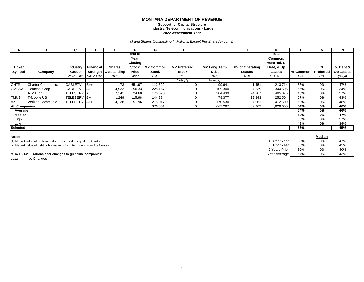#### **Support for Capital Structure Industry: Telecommunications - Large**

**2022 Assessment Year**

*(\$ and Shares Outstanding In Millions, Except Per Share Amounts)*

| А                    | в                 | C                 | D                | E.                     |              | G                 | н                   |                     |                 | Κ             |          | М         | N                |
|----------------------|-------------------|-------------------|------------------|------------------------|--------------|-------------------|---------------------|---------------------|-----------------|---------------|----------|-----------|------------------|
|                      |                   |                   |                  |                        | End of       |                   |                     |                     |                 | Total         |          |           |                  |
|                      |                   |                   |                  |                        | Year         |                   |                     |                     |                 | Common,       |          |           |                  |
|                      |                   |                   |                  |                        | Closing      |                   |                     |                     |                 | Preferred, LT |          |           |                  |
| <b>Ticker</b>        |                   | <b>Industry</b>   | <b>Financial</b> | <b>Shares</b>          | <b>Stock</b> | <b>IMV Common</b> | <b>MV Preferred</b> | <b>MV Long Term</b> | PV of Operating | Debt, & Op    |          | %         | % Debt &         |
| Symbol               | Company           | Group             |                  | Strength   Outstanding | Price        | <b>Stock</b>      | <b>Stock</b>        | Debt                | Leases          | Leases        | % Common | Preferred | <b>Op Leases</b> |
|                      |                   | Value Line        | Value Line       | $10-K$                 | Yahoo        | ExF               | 10- $K$             | 10-K                | 10-K            | $G+H+I+J$     | G/K      | H/K       | $(l+J)/K$        |
|                      |                   |                   |                  |                        |              |                   | Note [1]            | Note [2]            |                 |               |          |           |                  |
| <b>CHTR</b>          | Charter Communic. | <b>CABLETV</b>    | $B++$            | 173                    | 651.97       | 112,622           | $\mathbf 0$         | 99,641              | 1,451           | 213,714       | 53%      | 0%        | 47%              |
| <b>CMCSA</b>         | Comcast Corp.     | <b>CABLETV</b>    | $A+$             | 4,533                  | 50.33        | 228,157           | 0                   | 109,300             | 7,239           | 344,696       | 66%      | 0%        | 34%              |
|                      | AT&T Inc.         | <b>TELESERV A</b> |                  | 7,141                  | 24.60        | 175,670           | 0                   | 204,439             | 24,967          | 405,076       | 43%      | 0%        | 57%              |
| TMUS                 | T-Mobile US       | TELESERV B+       |                  | 1,249                  | 115.98       | 144,884           | 0                   | 78,377              | 29,243          | 252,504       | 57%      | 0%        | 43%              |
| VZ                   | Verizon Communic. | TELESERV   A++    |                  | 4,138                  | 51.96        | 215,017           | 0                   | 170,530             | 27,062          | 412,609       | 52%      | 0%        | 48%              |
| <b>All Companies</b> |                   |                   |                  |                        |              | 876,351           | $\mathbf 0$         | 662,287             | 89,962          | 1,628,600     | 54%      | 0%        | 46%              |
| Average              |                   |                   |                  |                        |              |                   |                     |                     |                 |               | 54%      | 0%        | 46%              |
| Median               |                   |                   |                  |                        |              |                   |                     |                     |                 |               | 53%      | 0%        | 47%              |
| High                 |                   |                   |                  |                        |              |                   |                     |                     |                 |               | 66%      | 0%        | 57%              |
| Low                  |                   |                   |                  |                        |              |                   |                     |                     |                 |               | 43%      | 0%        | 34%              |
| Selected             |                   |                   |                  |                        |              |                   |                     |                     |                 |               | 55%      |           | 45%              |
|                      |                   |                   |                  |                        |              |                   |                     |                     |                 |               |          |           |                  |

| Notes:                                                                   |                     |     | Median |     |
|--------------------------------------------------------------------------|---------------------|-----|--------|-----|
| [1] Market value of preferred stock assumed to equal book value          | <b>Current Year</b> | 53% | 0%     | 47% |
| [2] Market value of debt is fair value of long term debt from 10-K notes | <b>Prior Year</b>   | 58% | 0%     | 42% |
|                                                                          | 2 Years Prior       | 60% | 0%     | 40% |
| MCA 15-1-210, rationale for changes to guideline companies:              | 3 Year Average      | 57% | 0%     | 43% |

2022 - No Changes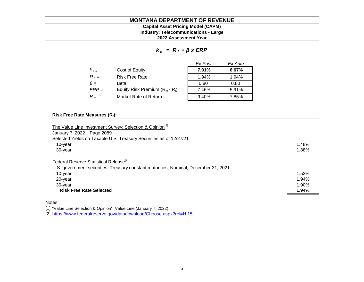#### **2022 Assessment Year Industry: Telecommunications - Large Capital Asset Pricing Model (CAPM)**

*k e = R <sup>f</sup> + β x ERP*

|           |                                   | Ex Post | Ex Ante |
|-----------|-----------------------------------|---------|---------|
| $K_{e}$   | Cost of Equity                    | 7.91%   | 6.67%   |
| $R_f =$   | <b>Risk Free Rate</b>             | 1.94%   | 1.94%   |
| $\beta =$ | Beta                              | 0.80    | 0.80    |
| $ERP =$   | Equity Risk Premium $(R_m - R_i)$ | 7.46%   | 5.91%   |
| $R_m =$   | Market Rate of Return             | 9.40%   | 7.85%   |

#### **Risk Free Rate Measures (R<sup>f</sup> ):**

| The Value Line Investment Survey: Selection & Opinion <sup>[1]</sup><br>January 7, 2022 Page 2089                                                                           |                                  |
|-----------------------------------------------------------------------------------------------------------------------------------------------------------------------------|----------------------------------|
| Selected Yields on Taxable U.S. Treasury Securities as of 12/27/21                                                                                                          |                                  |
| 10-year                                                                                                                                                                     | 1.48%                            |
| 30-year                                                                                                                                                                     | 1.88%                            |
| Federal Reserve Statistical Release <sup>[2]</sup><br>U.S. government securities, Treasury constant maturities, Nominal, December 31, 2021<br>10-year<br>20-year<br>30-year | 1.52%<br>1.94%<br>1.90%<br>1.94% |
| <b>Risk Free Rate Selected</b>                                                                                                                                              |                                  |

#### Notes

[1] "Value Line Selection & Opinion", Value Line (January 7, 2022)

[2] <https://www.federalreserve.gov/datadownload/Choose.aspx?rel=H.15>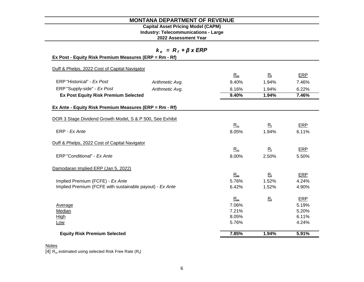# **Capital Asset Pricing Model (CAPM)**

**Industry: Telecommunications - Large**

**2022 Assessment Year**

| $k_e = R_f + \beta x ERP$                                 |                 |       |             |       |  |  |
|-----------------------------------------------------------|-----------------|-------|-------------|-------|--|--|
| Ex Post - Equity Risk Premium Measures (ERP = Rm - Rf)    |                 |       |             |       |  |  |
| Duff & Phelps, 2022 Cost of Capital Navigator             |                 |       |             |       |  |  |
|                                                           |                 | $R_m$ | $R_{\rm f}$ | ERP   |  |  |
| ERP "Historical" - Ex Post                                | Arithmetic Avg. | 9.40% | 1.94%       | 7.46% |  |  |
| ERP "Supply-side" - Ex Post                               | Arithmetic Avg. | 8.16% | 1.94%       | 6.22% |  |  |
| <b>Ex Post Equity Risk Premium Selected</b>               |                 | 9.40% | 1.94%       | 7.46% |  |  |
| Ex Ante - Equity Risk Premium Measures (ERP = Rm - Rf)    |                 |       |             |       |  |  |
|                                                           |                 |       |             |       |  |  |
| DOR 3 Stage Dividend Growth Model, S & P 500, See Exhibit |                 |       |             |       |  |  |
|                                                           |                 | $R_m$ | $R_{\rm f}$ | ERP   |  |  |
| ERP - Ex Ante                                             |                 | 8.05% | 1.94%       | 6.11% |  |  |
| Duff & Phelps, 2022 Cost of Capital Navigator             |                 |       |             |       |  |  |
|                                                           |                 | $R_m$ | $R_{\rm f}$ | ERP   |  |  |
| ERP "Conditional" - Ex Ante                               |                 | 8.00% | 2.50%       | 5.50% |  |  |
| Damodaran Implied ERP (Jan 5, 2022)                       |                 |       |             |       |  |  |
|                                                           |                 | $R_m$ | $R_{\rm f}$ | ERP   |  |  |
| Implied Premium (FCFE) - Ex Ante                          |                 | 5.76% | 1.52%       | 4.24% |  |  |
| Implied Premium (FCFE with sustainable payout) - Ex Ante  |                 | 6.42% | 1.52%       | 4.90% |  |  |
|                                                           |                 | $R_m$ | $R_{f}$     | ERP   |  |  |
| Average                                                   |                 | 7.06% |             | 5.19% |  |  |
| Median                                                    |                 | 7.21% |             | 5.20% |  |  |
| High                                                      |                 | 8.05% |             | 6.11% |  |  |
| <u>Low</u>                                                |                 | 5.76% |             | 4.24% |  |  |
| <b>Equity Risk Premium Selected</b>                       |                 | 7.85% | 1.94%       | 5.91% |  |  |

#### **Notes**

[4]  $R_m$  estimated using selected Risk Free Rate ( $R_f$ )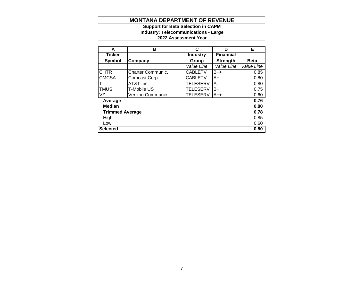#### **2022 Assessment Year Industry: Telecommunications - Large Support for Beta Selection in CAPM**

| A                      | в                        | C               | D                | Е           |
|------------------------|--------------------------|-----------------|------------------|-------------|
| <b>Ticker</b>          |                          | <b>Industry</b> | <b>Financial</b> |             |
| Symbol                 | Company                  | Group           | <b>Strength</b>  | <b>Beta</b> |
|                        |                          | Value Line      | Value Line       | Value Line  |
| <b>CHTR</b>            | <b>Charter Communic.</b> | <b>CABLETV</b>  | $B++$            | 0.85        |
| <b>CMCSA</b>           | Comcast Corp.            | <b>CABLETV</b>  | A+               | 0.80        |
| Π                      | AT&T Inc.                | <b>TELESERV</b> | A                | 0.80        |
| <b>TMUS</b>            | T-Mobile US              | <b>TELESERV</b> | B+               | 0.75        |
| VZ                     | Verizon Communic.        | <b>TELESERV</b> | $A++$            | 0.60        |
| Average                |                          |                 |                  | 0.76        |
| <b>Median</b>          |                          |                 |                  | 0.80        |
| <b>Trimmed Average</b> |                          |                 |                  | 0.78        |
| High                   |                          |                 |                  | 0.85        |
| Low                    |                          |                 |                  | 0.60        |
| <b>Selected</b>        |                          |                 |                  | 0.80        |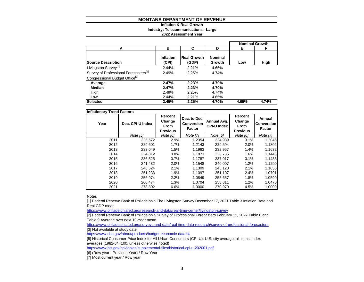#### **Inflation & Real Growth**

**Industry: Telecommunications - Large**

**2022 Assessment Year**

|                                                   |                    |                             |                          |       | <b>Nominal Growth</b> |
|---------------------------------------------------|--------------------|-----------------------------|--------------------------|-------|-----------------------|
| А                                                 | в                  | С                           | D                        | Е     | F                     |
| <b>Source Description</b>                         | Inflation<br>(CPI) | <b>Real Growth</b><br>(GDP) | <b>Nominal</b><br>Growth | Low   | High                  |
| Livingston Survey <sup>[1]</sup>                  | 2.44%              | 2.21%                       | 4.65%                    |       |                       |
| Survey of Professional Forecasters <sup>[2]</sup> | 2.49%              | 2.25%                       | 4.74%                    |       |                       |
| Congressional Budget Office <sup>[3]</sup>        |                    |                             |                          |       |                       |
| Average                                           | 2.47%              | 2.23%                       | 4.70%                    |       |                       |
| Median                                            | 2.47%              | 2.23%                       | 4.70%                    |       |                       |
| High                                              | 2.49%              | 2.25%                       | 4.74%                    |       |                       |
| Low                                               | 2.44%              | 2.21%                       | 4.65%                    |       |                       |
| <b>Selected</b>                                   | 2.45%              | 2.25%                       | 4.70%                    | 4.65% | 4.74%                 |

|      | <b>Inflationary Trend Factors</b> |                                                     |                                                    |                                   |                                                     |                                       |  |  |  |  |  |  |  |  |
|------|-----------------------------------|-----------------------------------------------------|----------------------------------------------------|-----------------------------------|-----------------------------------------------------|---------------------------------------|--|--|--|--|--|--|--|--|
| Year | Dec. CPI-U Index                  | Percent<br>Change<br><b>From</b><br><b>Previous</b> | Dec. to Dec.<br><b>Conversion</b><br><b>Factor</b> | Annual Avg.<br><b>CPI-U Index</b> | Percent<br>Change<br><b>From</b><br><b>Previous</b> | Annual<br>Conversion<br><b>Factor</b> |  |  |  |  |  |  |  |  |
|      | Note [5]                          | Note [6]                                            | Note [7]                                           | Note [5]                          | Note [6]                                            | Note [7]                              |  |  |  |  |  |  |  |  |
| 2011 | 225.672                           | 2.9%                                                | 1.2354                                             | 224.939                           | 3.1%                                                | 1.2046                                |  |  |  |  |  |  |  |  |
| 2012 | 229.601                           | 1.7%                                                | 1.2143                                             | 229.594                           | 2.0%                                                | 1.1802                                |  |  |  |  |  |  |  |  |
| 2013 | 233.049                           | 1.5%                                                | 1.1963                                             | 232.957                           | 1.4%                                                | 1.1632                                |  |  |  |  |  |  |  |  |
| 2014 | 234.812                           | 0.8%                                                | 1.1873                                             | 236.736                           | 1.6%                                                | 1.1446                                |  |  |  |  |  |  |  |  |
| 2015 | 236.525                           | 0.7%                                                | 1.1787                                             | 237.017                           | 0.1%                                                | 1.1433                                |  |  |  |  |  |  |  |  |
| 2016 | 241.432                           | 2.0%                                                | 1.1548                                             | 240.007                           | 1.2%                                                | 1.1290                                |  |  |  |  |  |  |  |  |
| 2017 | 246.524                           | 2.1%                                                | 1.1309                                             | 245.120                           | 2.1%                                                | 1.1055                                |  |  |  |  |  |  |  |  |
| 2018 | 251.233                           | 1.9%                                                | 1.1097                                             | 251.107                           | 2.4%                                                | 1.0791                                |  |  |  |  |  |  |  |  |
| 2019 | 256.974                           | 2.2%                                                | 1.0849                                             | 255.657                           | 1.8%                                                | 1.0599                                |  |  |  |  |  |  |  |  |
| 2020 | 260.474                           | 1.3%                                                | 1.0704                                             | 258.811                           | 1.2%                                                | 1.0470                                |  |  |  |  |  |  |  |  |
| 2021 | 278.802                           | 6.6%                                                | 1.0000                                             | 270.970                           | 4.5%                                                | 1.0000                                |  |  |  |  |  |  |  |  |

**Notes** 

[1] Federal Reserve Bank of Philadelphia The Livingston Survey December 17, 2021 Table 3 Inflation Rate and Real GDP mean

<https://www.philadelphiafed.org/research-and-data/real-time-center/livingston-survey>

[2] Federal Reserve Bank of Philadelphia Survey of Professional Forecasters February 11, 2022 Table 8 and Table 9 Average over next 10-Year mean

<https://www.philadelphiafed.org/surveys-and-data/real-time-data-research/survey-of-professional-forecasters> [3] Not available at study date

<https://www.cbo.gov/about/products/budget-economic-data#4>

[5] Historical Consumer Price Index for All Urban Consumers (CPI-U): U.S. city average, all items, index averages (1982-84=100, unless otherwise noted)

<https://www.bls.gov/cpi/tables/supplemental-files/historical-cpi-u-202001.pdf>

[6] (Row year - Previous Year) / Row Year

[7] Most current year / Row year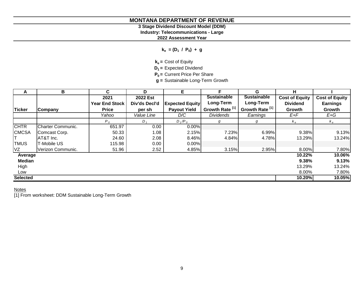# **3 Stage Dividend Discount Model (DDM)**

**Industry: Telecommunications - Large**

**2022 Assessment Year**

**ke = (D<sup>1</sup> / P<sup>0</sup> ) + g**

**ke =** Cost of Equity

**D1 =** Expected Dividend

**P0 =** Current Price Per Share

**g =** Sustainable Long-Term Growth

| A               | В                 | C.                    | D             | E.                     |                            | G                          | н.                    |                       |
|-----------------|-------------------|-----------------------|---------------|------------------------|----------------------------|----------------------------|-----------------------|-----------------------|
|                 |                   | 2021                  | 2022 Est      |                        | <b>Sustainable</b>         | <b>Sustainable</b>         | <b>Cost of Equity</b> | <b>Cost of Equity</b> |
|                 |                   | <b>Year End Stock</b> | Div'ds Decl'd | <b>Expected Equity</b> | Long-Term                  | Long-Term                  | <b>Dividend</b>       | <b>Earnings</b>       |
| <b>Ticker</b>   | <b>Company</b>    | <b>Price</b>          | per sh        | <b>Payout Yield</b>    | Growth Rate <sup>[1]</sup> | Growth Rate <sup>[1]</sup> | Growth                | Growth                |
|                 |                   | Yahoo                 | Value Line    | D/C                    | <b>Dividends</b>           | Earnings                   | E+F                   | E+G                   |
|                 |                   | $P_o$                 | $D_{1}$       | $D_1/P_0$              | g                          | g                          | $k_e$                 | $k_e$                 |
| <b>CHTR</b>     | Charter Communic. | 651.97                | 0.00          | 0.00%                  |                            |                            |                       |                       |
| <b>CMCSA</b>    | Comcast Corp.     | 50.33                 | 1.08          | 2.15%                  | 7.23%                      | 6.99%                      | 9.38%                 | 9.13%                 |
|                 | AT&T Inc.         | 24.60                 | 2.08          | 8.46%                  | 4.84%                      | 4.78%                      | 13.29%                | 13.24%                |
| <b>TMUS</b>     | T-Mobile US       | 115.98                | 0.00          | 0.00%                  |                            |                            |                       |                       |
| VZ              | Verizon Communic. | 51.96                 | 2.52          | 4.85%                  | 3.15%                      | 2.95%                      | 8.00%                 | 7.80%                 |
| Average         |                   |                       |               |                        |                            |                            | 10.22%                | 10.06%                |
| Median          |                   |                       |               |                        |                            |                            | 9.38%                 | 9.13%                 |
| High            |                   |                       |               |                        |                            |                            | 13.29%                | 13.24%                |
| Low             |                   |                       |               |                        |                            |                            | 8.00%                 | 7.80%                 |
| <b>Selected</b> |                   |                       |               |                        |                            |                            | 10.20%                | 10.05%                |

# **Notes**

[1] From worksheet: DDM Sustainable Long-Term Growth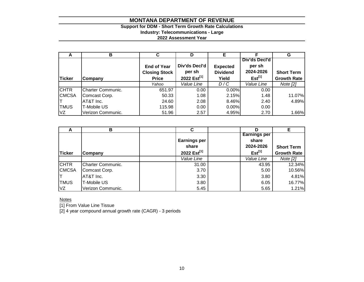# **Support for DDM - Short Term Growth Rate Calculations**

**Industry: Telecommunications - Large**

**2022 Assessment Year**

| A             | в                 | С                    | D                       |                 |               | G                  |
|---------------|-------------------|----------------------|-------------------------|-----------------|---------------|--------------------|
|               |                   |                      |                         |                 | Div'ds Decl'd |                    |
|               |                   | <b>End of Year</b>   | Div'ds Decl'd           | <b>Expected</b> | per sh        |                    |
|               |                   | <b>Closing Stock</b> | per sh                  | <b>Dividend</b> | 2024-2026     | <b>Short Term</b>  |
| <b>Ticker</b> | Company           | <b>Price</b>         | 2022 Est <sup>[1]</sup> | Yield           | $Est^{[1]}$   | <b>Growth Rate</b> |
|               |                   | Yahoo                | Value Line              | D/C             | Value Line    | Note $[2]$         |
| <b>CHTR</b>   | Charter Communic. | 651.97               | 0.00                    | 0.00%           | 0.00          |                    |
| <b>CMCSA</b>  | Comcast Corp.     | 50.33                | 1.08                    | 2.15%           | 1.48          | 11.07%             |
|               | AT&T Inc.         | 24.60                | 2.08                    | 8.46%           | 2.40          | 4.89%              |
| <b>TMUS</b>   | T-Mobile US       | 115.98               | 0.00                    | 0.00%           | 0.00          |                    |
| VZ            | Verizon Communic. | 51.96                | 2.57                    | 4.95%           | 2.70          | 1.66%              |

| n             | в                        | С                       |                     | E.                 |
|---------------|--------------------------|-------------------------|---------------------|--------------------|
|               |                          |                         | <b>Earnings per</b> |                    |
|               |                          | <b>Earnings per</b>     | share               |                    |
|               |                          | share                   | 2024-2026           | <b>Short Term</b>  |
| <b>Ticker</b> | <b>Company</b>           | 2022 Est <sup>[1]</sup> | $Est^{[1]}$         | <b>Growth Rate</b> |
|               |                          | Value Line              | Value Line          | Note $[2]$         |
| <b>CHTR</b>   | <b>Charter Communic.</b> | 31.00                   | 43.95               | 12.34%             |
| <b>CMCSA</b>  | Comcast Corp.            | 3.70                    | 5.00                | 10.56%             |
|               | AT&T Inc.                | 3.30                    | 3.80                | 4.81%              |
| <b>TMUS</b>   | T-Mobile US              | 3.80                    | 6.05                | 16.77%             |
| VZ            | Verizon Communic.        | 5.45                    | 5.65                | 1.21%              |

**Notes** 

[1] From Value Line Tissue

[2] 4 year compound annual growth rate (CAGR) - 3 periods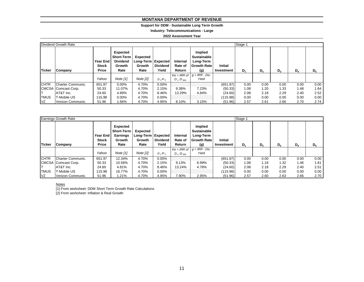#### **Support for DDM - Sustainable Long Term Growth**

**Industry: Telecommunications - Large**

#### **2022 Assessment Year**

|               | Dividend Growth Rate |                                                 |                                                             |                                                           |                          |                               |                                                                         |                              | Stage 1 |                |       |       |       |
|---------------|----------------------|-------------------------------------------------|-------------------------------------------------------------|-----------------------------------------------------------|--------------------------|-------------------------------|-------------------------------------------------------------------------|------------------------------|---------|----------------|-------|-------|-------|
| <b>Ticker</b> | Company              | <b>Year End</b><br><b>Stock</b><br><b>Price</b> | Expected<br>Short-Term<br><b>Dividend</b><br>Growth<br>Rate | <b>Expected</b><br>Long-Term   Expected<br>Growth<br>Rate | <b>Dividend</b><br>Yield | Internal<br>Rate of<br>Return | Implied<br><b>Sustainable</b><br>Long-Term<br><b>Growth Rate</b><br>(g) | <b>Initial</b><br>Investment | $D_1$   | D <sub>2</sub> | $D_3$ | $D_4$ | $D_5$ |
|               |                      | Yahoo                                           | Note $[1]$                                                  | Note $[2]$                                                | $D_1/P_0$                | $D_1:D_{500}$                 | $Ke = IRR$ of $g = IRR - Div.$<br>Yield                                 |                              |         |                |       |       |       |
| <b>CHTR</b>   | Charter Communic.    | 651.97                                          | $0.00\%$                                                    | 4.70%                                                     | $0.00\%$                 |                               |                                                                         | (651.97)                     | 0.00    | 0.00           | 0.00  | 0.00  | 0.00  |
|               | CMCSA Comcast Corp.  | 50.33                                           | 11.07%                                                      | 4.70%                                                     | 2.15%                    | 9.38%                         | 7.23%                                                                   | (50.33)                      | 1.08    | 1.20           | 1.33  | 1.48  | 1.64  |
|               | AT&T Inc.            | 24.60                                           | 4.89%                                                       | 4.70%                                                     | 8.46%                    | 13.29%                        | 4.84%                                                                   | (24.60)                      | 2.08    | 2.18           | 2.29  | 2.40  | 2.52  |
| <b>TMUS</b>   | T-Mobile US          | 115.98                                          | $0.00\%$                                                    | 4.70%                                                     | $0.00\%$                 |                               |                                                                         | (115.98)                     | 0.00    | 0.00           | 0.00  | 0.00  | 0.00  |
| VZ            | Verizon Communic.    | 51.96                                           | .66%                                                        | 4.70%                                                     | 4.95%                    | 8.10%                         | 3.15%                                                                   | (51.96)                      | 2.57    | 2.61           | 2.66  | 2.70  | 2.74  |

|               | Earnings Growth Rate |                                          |                                                             |                                                           |                          |                               |                                                                          |                              | Stage 1 |                |       |       |       |
|---------------|----------------------|------------------------------------------|-------------------------------------------------------------|-----------------------------------------------------------|--------------------------|-------------------------------|--------------------------------------------------------------------------|------------------------------|---------|----------------|-------|-------|-------|
| <b>Ticker</b> | Company              | Year End<br><b>Stock</b><br><b>Price</b> | Expected<br><b>Short-Term</b><br>Earnings<br>Growth<br>Rate | <b>Expected</b><br>Long-Term   Expected<br>Growth<br>Rate | <b>Dividend</b><br>Yield | Internal<br>Rate of<br>Return | Implied<br><b>Sustainable</b><br>Long-Term<br><b>Growth Ratel</b><br>(g) | <b>Initial</b><br>Investment | $D_1$   | D <sub>2</sub> | $D_3$ | $D_4$ | $D_5$ |
|               |                      | Yahoo                                    | Note [1]                                                    | Note [2]                                                  | $D_1/P_0$                | $D_1:D_{500}$                 | $Ke = IRR$ of $g = IRR - Div.$<br>Yield                                  |                              |         |                |       |       |       |
| <b>CHTR</b>   | Charter Communic.    | 651.97                                   | 12.34%                                                      | 4.70%                                                     | 0.00%                    |                               |                                                                          | (651.97)                     | 0.00    | 0.00           | 0.00  | 0.00  | 0.00  |
|               | CMCSA Comcast Corp.  | 50.33                                    | 10.56%                                                      | 4.70%                                                     | 2.15%                    | 9.13%                         | 6.99%                                                                    | (50.33)                      | 1.08    | 1.19           | 1.32  | 1.46  | 1.61  |
|               | AT&T Inc.            | 24.60                                    | 4.81%                                                       | 4.70%                                                     | 8.46%                    | 13.24%                        | 4.78%                                                                    | (24.60)                      | 2.08    | 2.18           | 2.29  | 2.40  | 2.51  |
| <b>TMUS</b>   | T-Mobile US          | 115.98                                   | 16.77%                                                      | 4.70%                                                     | $0.00\%$                 |                               |                                                                          | (115.98)                     | 0.00    | 0.00           | 0.00  | 0.00  | 0.00  |
| VZ            | Verizon Communic.    | 51.96                                    | .21%                                                        | 4.70%                                                     | 4.95%                    | 7.90%                         | 2.95%                                                                    | (51.96)                      | 2.57    | 2.60           | 2.63  | 2.66  | 2.70  |

#### Notes

[1] From worksheet: DDM Short Term Growth Rate Calculations

[2] From worksheet: Inflation & Real Growth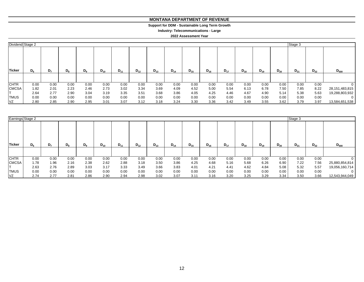#### **MONTANA DEPARTMENT OF REVENUE MONTANA DEPARTMENT OF REVENUE**

#### **Support for DDM - Sustainable Long Term Growth Support for DDM - Sustainable Long Term Growth**

**Industry: Telecommunications - Large Industry: Telecommunications - Large**

| Dividend Stage 2 |       |       |       |       |          |          |          |          |          |          |          |          |          |          |          | Stage 3  |          |                   |
|------------------|-------|-------|-------|-------|----------|----------|----------|----------|----------|----------|----------|----------|----------|----------|----------|----------|----------|-------------------|
| <b>Ticker</b>    | $D_6$ | $D_7$ | $D_8$ | $D_9$ | $D_{10}$ | $D_{11}$ | $D_{12}$ | $D_{13}$ | $D_{14}$ | $D_{15}$ | $D_{16}$ | $D_{17}$ | $D_{18}$ | $D_{19}$ | $D_{20}$ | $D_{21}$ | $D_{22}$ | $D_{500}$         |
| <b>CHTR</b>      | 0.00  | 0.00  | 0.00  | 0.00  | 0.00     | 0.00     | 0.00     | 0.00     | 0.00     | 0.00     | 0.00     | 0.00     | 0.00     | 0.00     | 0.00     | 0.00     | 0.00     |                   |
| <b>CMCSA</b>     | 1.82  | 2.01  | 2.23  | 2.46  | 2.73     | 3.02     | 3.34     | 3.69     | 4.09     | 4.52     | 5.00     | 5.54     | 6.13     | 6.78     | 7.50     | 7.85     | 8.22     | 28, 151, 483, 815 |
|                  | 2.64  | 2.77  | 2.90  | 3.04  | 3.19     | 3.35     | 3.51     | 3.68     | 3.86     | 4.05     | 4.25     | 4.46     | 4.67     | 4.90     | 5.14     | 5.38     | 5.63     | 19,288,803,932    |
| <b>TMUS</b>      | 0.00  | 0.00  | 0.00  | 0.00  | 0.00     | 0.00     | 0.00     | 0.00     | 0.00     | 0.00     | 0.00     | 0.00     | 0.00     | 0.00     | 0.00     | 0.00     | 0.00     | 0                 |
| VZ               | 2.80  | 2.85  | 2.90  | 2.95  | 3.01     | 3.07     | 3.12     | 3.18     | 3.24     | 3.30     | 3.36     | 3.42     | 3.49     | 3.55     | 3.62     | 3.79     | 3.97     | 13,584,651,538    |

| Earnings Stage 2 |       |                |       |       |          |          |          |          |          |          |          |          |          |          |          | Stage 3  |          |                |
|------------------|-------|----------------|-------|-------|----------|----------|----------|----------|----------|----------|----------|----------|----------|----------|----------|----------|----------|----------------|
| <b>Ticker</b>    | $D_6$ | D <sub>7</sub> | $D_8$ | $D_9$ | $D_{10}$ | $D_{11}$ | $D_{12}$ | $D_{13}$ | $D_{14}$ | $D_{15}$ | $D_{16}$ | $D_{17}$ | $D_{18}$ | $D_{19}$ | $D_{20}$ | $D_{21}$ | $D_{22}$ | $D_{500}$      |
|                  |       |                |       |       |          |          |          |          |          |          |          |          |          |          |          |          |          |                |
| <b>CHTR</b>      | 0.00  | 0.00           | 0.00  | 0.00  | 0.00     | 0.00     | 0.00     | 0.00     | 0.00     | 0.00     | 0.00     | 0.00     | 0.00     | 0.00     | 0.00     | 0.00     | 0.00     | υ              |
| <b>CMCSA</b>     | 1.78  | 1.96           | 2.16  | 2.38  | 2.62     | 2.88     | 3.18     | 3.50     | 3.86     | 4.25     | 4.68     | 5.16     | 5.68     | 6.26     | 6.90     | 7.22     | 7.56     | 25,880,854,814 |
|                  | 2.63  | 2.76           | 2.89  | 3.03  | 3.17     | 3.33     | 3.49     | 3.66     | 3.83     | 4.01     | 4.21     | 4.41     | 4.62     | 4.84     | 5.08     | 5.32     | 5.57     | 19,056,160,714 |
| <b>TMUS</b>      | 0.00  | 0.00           | 0.00  | 0.00  | 0.00     | 0.00     | 0.00     | 0.00     | 0.00     | 0.00     | 0.00     | 0.00     | 0.00     | 0.00     | 0.00     | 0.00     | 0.00     | $\Omega$       |
| <b>VZ</b>        | 2.74  | 2.77           | 2.81  | 2.86  | 2.90     | 2.94     | 2.98     | 3.02     | 3.07     | 3.11     | 3.16     | 3.20     | 3.25     | 3.29     | 3.34     | 3.50     | 3.66     | 12,543,944,049 |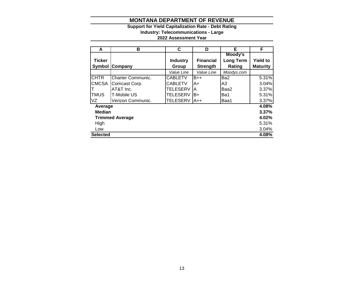#### **Support for Yield Capitalization Rate - Debt Rating**

**Industry: Telecommunications - Large**

| A               | в                        | C               | D                | Е                | F               |
|-----------------|--------------------------|-----------------|------------------|------------------|-----------------|
|                 |                          |                 |                  | Moody's          |                 |
| <b>Ticker</b>   |                          | <b>Industry</b> | <b>Financial</b> | <b>Long Term</b> | <b>Yield to</b> |
|                 | <b>Symbol Company</b>    | Group           | <b>Strength</b>  | Rating           | <b>Maturity</b> |
|                 |                          | Value Line      | Value Line       | Moodys.com       |                 |
| <b>CHTR</b>     | <b>Charter Communic.</b> | <b>CABLETV</b>  | $B++$            | Ba2              | 5.31%           |
| <b>CMCSA</b>    | Comcast Corp.            | <b>CABLETV</b>  | A+               | A <sub>3</sub>   | 3.04%           |
|                 | AT&T Inc.                | <b>TELESERV</b> | A                | Baa2             | 3.37%           |
| <b>TMUS</b>     | T-Mobile US              | <b>TELESERV</b> | B+               | Ba1              | 5.31%           |
| VZ              | Verizon Communic.        | <b>TELESERV</b> | A++              | Baa1             | 3.37%           |
| Average         |                          |                 |                  |                  | 4.08%           |
| <b>Median</b>   |                          |                 |                  |                  | 3.37%           |
|                 | <b>Trimmed Average</b>   |                 |                  |                  | 4.02%           |
| High            |                          |                 |                  |                  | 5.31%           |
| Low             |                          |                 |                  |                  | 3.04%           |
| <b>Selected</b> |                          |                 |                  |                  | 4.08%           |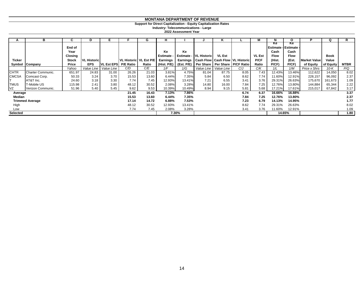**Support for Direct Capitalization - Equity Capitalization Rates**

**Industry: Telecommunications - Large**

|                 | в                      | C.             |                    |                   |                          | G     | н.          |            |                               | Κ                                              |      |               |                                 | O                        |                     | Q           |             |
|-----------------|------------------------|----------------|--------------------|-------------------|--------------------------|-------|-------------|------------|-------------------------------|------------------------------------------------|------|---------------|---------------------------------|--------------------------|---------------------|-------------|-------------|
|                 |                        | End of<br>Year |                    |                   |                          |       | Ke          | Ke         |                               |                                                |      |               | Ke<br><b>Estimate -</b><br>Cash | Ke<br>Estimate -<br>Cash |                     |             |             |
|                 |                        | <b>Closing</b> |                    |                   |                          |       | Estimate -  |            | <b>Estimate - VL Historic</b> | <b>VL Est</b>                                  |      | <b>VL Est</b> | <b>Flow</b>                     | <b>Flow</b>              |                     | <b>Book</b> |             |
| <b>Ticker</b>   |                        | Stock          | <b>VL Historic</b> |                   | VL Historic   VL Est P/E |       | Earnings    |            |                               | Earnings   Cash Flow   Cash Flow   VL Historic |      | <b>P/CF</b>   | (Hist.                          | (Est.                    | <b>Market Value</b> | Value       |             |
|                 | Symbol Company         | Price          | <b>EPS</b>         | <b>VL Est EPS</b> | <b>P/E Ratio</b>         | Ratio | (Hist. P/E) | (Est. P/E) |                               | Per Share   Per Share   P/CF Ratio             |      | Ratio         | P(CF)                           | P(CF)                    | of Equity           | of Equity   | <b>MTBR</b> |
|                 |                        | Yahoo          | Value Line         | Value Line        | C/D                      | C/E   | 1/F         | 1/G        |                               | Value Line   Value Line                        | C/J  | C/K           | 1/L                             | 1/M                      | Price x Shrs        | $10-K$      | P/Q         |
| <b>CHTR</b>     | Charter Communic.      | 651.97         | 24.83              | 31.00             | 26.26                    | 21.03 | 3.81%       | 4.75%      | 81.04                         | 87.75                                          | 8.05 | 7.43          | 12.43%                          | 13.46%                   | 112,622             | 14,050      | 8.02        |
| <b>CMCSA</b>    | Comcast Corp.          | 50.33          | 3.24               | 3.70              | 15.53                    | 13.60 | 6.44%       | 7.35%      | 5.84                          | 6.50                                           | 8.62 | 7.74          | 11.60%                          | 12.91%                   | 228,157             | 96,092      | 2.37        |
|                 | AT&T Inc.              | 24.60          | 3.18               | 3.30              | 7.74                     | 7.45  | 12.93%      | 13.41%     | 7.21                          | 6.55                                           | 3.41 | 3.76          | 29.31%                          | 26.63%                   | 175,670             | 161,673     | 1.09        |
| <b>TMUS</b>     | T-Mobile US            | 115.98         | 2.41               | 3.80              | 48.12                    | 30.52 | 2.08%       | 3.28%      | 14.80                         | 16.00                                          | 7.84 | 7.25          | 12.76%                          | 13.80%                   | 144,884             | 65,344      | 2.22        |
| VZ              | Verizon Communic.      | 51.96          | 5.40               | 5.45              | 9.62                     | 9.53  | 10.39%      | 10.49%     | 8.94                          | 9.15                                           | 5.81 | 5.68          | 17.21%                          | 17.61%                   | 215,017             | 67,842      | 3.17        |
| Average         |                        |                |                    |                   | 21.45                    | 16.43 | 7.13%       | 7.86%      |                               |                                                | 6.74 | 6.37          | 16.66%                          | 16.88%                   |                     |             | 3.37        |
| Median          |                        |                |                    |                   | 15.53                    | 13.60 | 6.44%       | 7.35%      |                               |                                                | 7.84 | 7.25          | 12.76%                          | 13.80%                   |                     |             | 2.37        |
|                 | <b>Trimmed Average</b> |                |                    |                   | 17.14                    | 14.72 | 6.88%       | 7.53%      |                               |                                                | 7.23 | 6.79          | 14.13%                          | 14.95%                   |                     |             | 1.77        |
| High            |                        |                |                    |                   | 48.12                    | 30.52 | 12.93%      | 13.41%     |                               |                                                | 8.62 | 7.74          | 29.31%                          | 26.63%                   |                     |             | 8.02        |
| Low             |                        |                |                    |                   | 7.74                     | 7.45  | 2.08%       | 3.28%      |                               |                                                | 3.41 | 3.76          | 11.60%                          | 12.91%                   |                     |             | 1.09        |
| <b>Selected</b> |                        |                |                    |                   |                          |       |             | 7.30%      |                               |                                                |      |               |                                 | 14.65%                   |                     |             | 1.80        |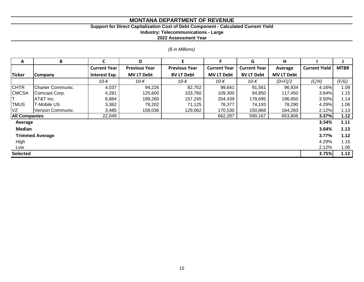# **Support for Direct Capitalization Cost of Debt Component - Calculated Current Yield**

**Industry: Telecommunications - Large**

**2022 Assessment Year**

#### *(\$ in Millions)*

| A                    | B                      | C                   | D                    | F                    | F                   | G                   | H.                |                      |             |
|----------------------|------------------------|---------------------|----------------------|----------------------|---------------------|---------------------|-------------------|----------------------|-------------|
|                      |                        | <b>Current Year</b> | <b>Previous Year</b> | <b>Previous Year</b> | <b>Current Year</b> | <b>Current Year</b> | Average           | <b>Current Yield</b> | <b>MTBR</b> |
| Ticker               | <b>Company</b>         | Interest Exp.       | <b>MV LT Debt</b>    | <b>BV LT Debt</b>    | <b>MV LT Debt</b>   | <b>BV LT Debt</b>   | <b>MV LT Debt</b> |                      |             |
|                      |                        | 10-K                | 10-K                 | 10-K                 | 10-K                | 10-K                | $(D+F)/2$         | (C/H)                | (F/G)       |
| <b>CHTR</b>          | Charter Communic.      | 4,037               | 94,226               | 82,752               | 99,641              | 91,561              | 96,934            | 4.16%                | 1.09        |
| <b>CMCSA</b>         | Comcast Corp.          | 4,281               | 125,600              | 103,760              | 109,300             | 94,850              | 117,450           | 3.64%                | 1.15        |
|                      | AT&T Inc.              | 6,884               | 189,260              | 157,245              | 204,439             | 178,695             | 196,850           | 3.50%                | 1.14        |
| <b>TMUS</b>          | T-Mobile US            | 3,362               | 78,202               | 71,125               | 78,377              | 74,193              | 78,290            | 4.29%                | 1.06        |
| VZ                   | Verizon Communic.      | 3,485               | 158,036              | 129,062              | 170,530             | 150,868             | 164,283           | 2.12%                | 1.13        |
| <b>All Companies</b> |                        | 22,049              |                      |                      | 662,287             | 590,167             | 653,806           | 3.37%                | 1.12        |
| Average              |                        |                     |                      |                      |                     |                     |                   | 3.54%                | 1.11        |
| <b>Median</b>        |                        |                     |                      |                      |                     |                     |                   | 3.64%                | 1.13        |
|                      | <b>Trimmed Average</b> |                     |                      |                      |                     |                     |                   | 3.77%                | 1.12        |
| High                 |                        |                     |                      |                      |                     |                     |                   | 4.29%                | 1.15        |
| Low                  |                        |                     |                      |                      |                     |                     |                   | 2.12%                | 1.06        |
| <b>Selected</b>      |                        |                     |                      |                      |                     |                     |                   | 3.75%                | 1.12        |